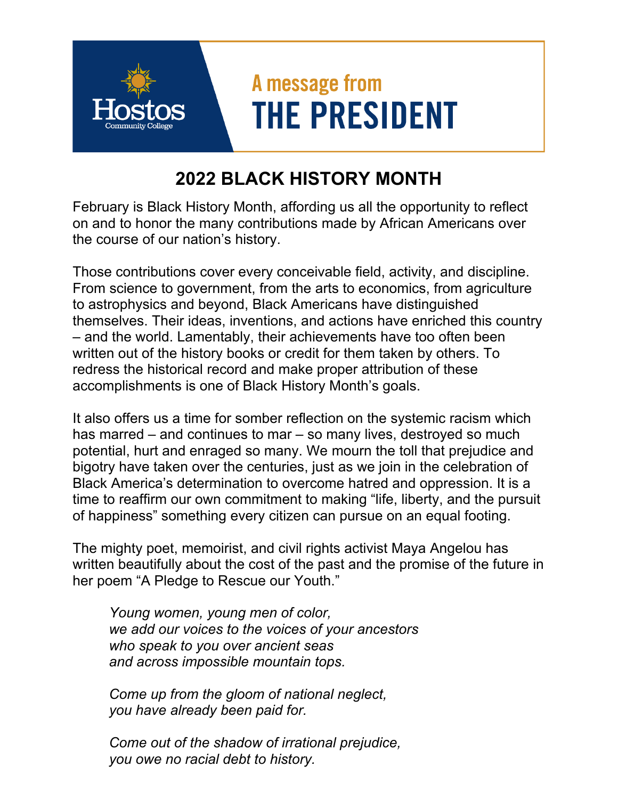## A message from **THE PRESIDENT**

## **2022 BLACK HISTORY MONTH**

February is Black History Month, affording us all the opportunity to reflect on and to honor the many contributions made by African Americans over the course of our nation's history.

Those contributions cover every conceivable field, activity, and discipline. From science to government, from the arts to economics, from agriculture to astrophysics and beyond, Black Americans have distinguished themselves. Their ideas, inventions, and actions have enriched this country – and the world. Lamentably, their achievements have too often been written out of the history books or credit for them taken by others. To redress the historical record and make proper attribution of these accomplishments is one of Black History Month's goals.

It also offers us a time for somber reflection on the systemic racism which has marred – and continues to mar – so many lives, destroyed so much potential, hurt and enraged so many. We mourn the toll that prejudice and bigotry have taken over the centuries, just as we join in the celebration of Black America's determination to overcome hatred and oppression. It is a time to reaffirm our own commitment to making "life, liberty, and the pursuit of happiness" something every citizen can pursue on an equal footing.

The mighty poet, memoirist, and civil rights activist Maya Angelou has written beautifully about the cost of the past and the promise of the future in her poem "A Pledge to Rescue our Youth."

*Young women, young men of color, we add our voices to the voices of your ancestors who speak to you over ancient seas and across impossible mountain tops.* 

*Come up from the gloom of national neglect, you have already been paid for.* 

*Come out of the shadow of irrational prejudice, you owe no racial debt to history.*